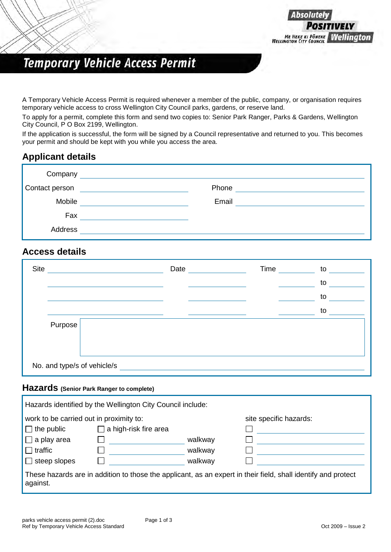

## **Temporary Vehicle Access Permit**

A Temporary Vehicle Access Permit is required whenever a member of the public, company, or organisation requires temporary vehicle access to cross Wellington City Council parks, gardens, or reserve land.

To apply for a permit, complete this form and send two copies to: Senior Park Ranger, Parks & Gardens, Wellington City Council, P O Box 2199, Wellington.

If the application is successful, the form will be signed by a Council representative and returned to you. This becomes your permit and should be kept with you while you access the area.

## **Applicant details**

| Company        | <u> 1980 - Jan Stein Stein Stein Stein Stein Stein Stein Stein Stein Stein Stein Stein Stein Stein Stein Stein S</u> |
|----------------|----------------------------------------------------------------------------------------------------------------------|
| Contact person | Phone                                                                                                                |
| Mobile         | Email                                                                                                                |
| Fax            |                                                                                                                      |
| Address        |                                                                                                                      |

### **Access details**

| Site    |                             | Date | Time | to |
|---------|-----------------------------|------|------|----|
|         |                             |      |      | to |
|         |                             |      |      | to |
|         |                             |      |      | to |
| Purpose |                             |      |      |    |
|         |                             |      |      |    |
|         |                             |      |      |    |
|         | No. and type/s of vehicle/s |      |      |    |

## **Hazards (Senior Park Ranger to complete)**

|                                         | Hazards identified by the Wellington City Council include: |         |                                                                                                               |  |
|-----------------------------------------|------------------------------------------------------------|---------|---------------------------------------------------------------------------------------------------------------|--|
| work to be carried out in proximity to: |                                                            |         | site specific hazards:                                                                                        |  |
| $\Box$ the public                       | $\Box$ a high-risk fire area                               |         |                                                                                                               |  |
| $\Box$ a play area                      |                                                            | walkway |                                                                                                               |  |
| $\Box$ traffic                          |                                                            | walkway |                                                                                                               |  |
| $\Box$ steep slopes                     |                                                            | walkway |                                                                                                               |  |
| against.                                |                                                            |         | These hazards are in addition to those the applicant, as an expert in their field, shall identify and protect |  |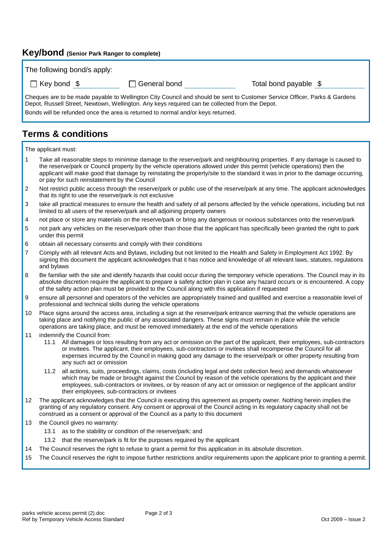#### **Key/bond (Senior Park Ranger to complete)**

The following bond/s apply:

|  | $\Box$ Key bond | ্ |
|--|-----------------|---|
|  |                 |   |

\$ General bond Total bond payable \$

Cheques are to be made payable to Wellington City Council and should be sent to Customer Service Officer, Parks & Gardens Depot, Russell Street, Newtown, Wellington. Any keys required can be collected from the Depot. Bonds will be refunded once the area is returned to normal and/or keys returned.

## **Terms & conditions**

The applicant must:

- 1 Take all reasonable steps to minimise damage to the reserve/park and neighbouring properties. If any damage is caused to the reserve/park or Council property by the vehicle operations allowed under this permit (vehicle operations) then the applicant will make good that damage by reinstating the property/site to the standard it was in prior to the damage occurring, or pay for such reinstatement by the Council
- 2 Not restrict public access through the reserve/park or public use of the reserve/park at any time. The applicant acknowledges that its right to use the reserve/park is not exclusive
- 3 take all practical measures to ensure the health and safety of all persons affected by the vehicle operations, including but not limited to all users of the reserve/park and all adjoining property owners
- 4 not place or store any materials on the reserve/park or bring any dangerous or noxious substances onto the reserve/park
- 5 not park any vehicles on the reserve/park other than those that the applicant has specifically been granted the right to park under this permit
- 6 obtain all necessary consents and comply with their conditions
- 7 Comply with all relevant Acts and Bylaws, including but not limited to the Health and Safety in Employment Act 1992. By signing this document the applicant acknowledges that it has notice and knowledge of all relevant laws, statutes, regulations and bylaws
- 8 Be familiar with the site and identify hazards that could occur during the temporary vehicle operations. The Council may in its absolute discretion require the applicant to prepare a safety action plan in case any hazard occurs or is encountered. A copy of the safety action plan must be provided to the Council along with this application if requested
- 9 ensure all personnel and operators of the vehicles are appropriately trained and qualified and exercise a reasonable level of professional and technical skills during the vehicle operations
- 10 Place signs around the access area, including a sign at the reserve/park entrance warning that the vehicle operations are taking place and notifying the public of any associated dangers. These signs must remain in place while the vehicle operations are taking place, and must be removed immediately at the end of the vehicle operations
- 11 indemnify the Council from:
	- 11.1 All damages or loss resulting from any act or omission on the part of the applicant, their employees, sub-contractors or invitees. The applicant, their employees, sub-contractors or invitees shall recompense the Council for all expenses incurred by the Council in making good any damage to the reserve/park or other property resulting from any such act or omission
	- 11.2 all actions, suits, proceedings, claims, costs (including legal and debt collection fees) and demands whatsoever which may be made or brought against the Council by reason of the vehicle operations by the applicant and their employees, sub-contractors or invitees, or by reason of any act or omission or negligence of the applicant and/or their employees, sub-contractors or invitees
- 12 The applicant acknowledges that the Council is executing this agreement as property owner. Nothing herein implies the granting of any regulatory consent. Any consent or approval of the Council acting in its regulatory capacity shall not be construed as a consent or approval of the Council as a party to this document
- 13 the Council gives no warranty:
	- 13.1 as to the stability or condition of the reserve/park; and
	- 13.2 that the reserve/park is fit for the purposes required by the applicant
- 14 The Council reserves the right to refuse to grant a permit for this application in its absolute discretion.
- 15 The Council reserves the right to impose further restrictions and/or requirements upon the applicant prior to granting a permit.